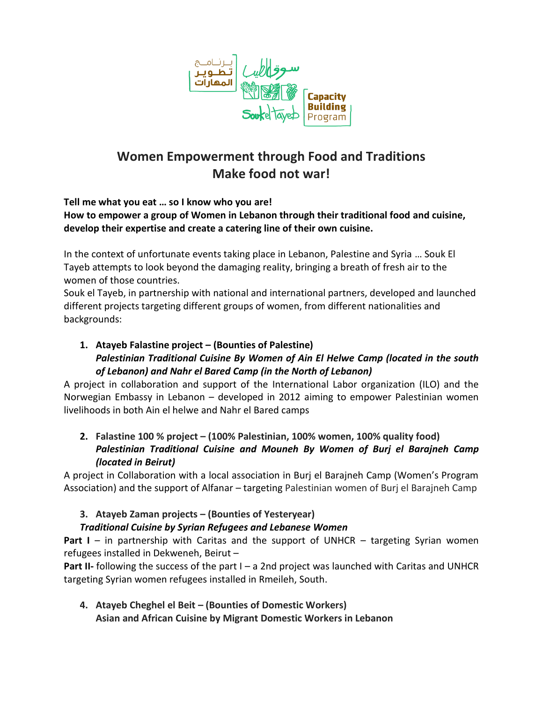

# **Women Empowerment through Food and Traditions Make food not war!**

**Tell me what you eat … so I know who you are!** 

# **How to empower a group of Women in Lebanon through their traditional food and cuisine, develop their expertise and create a catering line of their own cuisine.**

In the context of unfortunate events taking place in Lebanon, Palestine and Syria … Souk El Tayeb attempts to look beyond the damaging reality, bringing a breath of fresh air to the women of those countries.

Souk el Tayeb, in partnership with national and international partners, developed and launched different projects targeting different groups of women, from different nationalities and backgrounds:

# **1. Atayeb Falastine project – (Bounties of Palestine)** *Palestinian Traditional Cuisine By Women of Ain El Helwe Camp (located in the south of Lebanon) and Nahr el Bared Camp (in the North of Lebanon)*

A project in collaboration and support of the International Labor organization (ILO) and the Norwegian Embassy in Lebanon – developed in 2012 aiming to empower Palestinian women livelihoods in both Ain el helwe and Nahr el Bared camps

# **2. Falastine 100 % project – (100% Palestinian, 100% women, 100% quality food)** *Palestinian Traditional Cuisine and Mouneh By Women of Burj el Barajneh Camp (located in Beirut)*

A project in Collaboration with a local association in Burj el Barajneh Camp (Women's Program Association) and the support of Alfanar – targeting Palestinian women of Burj el Barajneh Camp

# **3. Atayeb Zaman projects – (Bounties of Yesteryear)**

# *Traditional Cuisine by Syrian Refugees and Lebanese Women*

**Part I** – in partnership with Caritas and the support of UNHCR – targeting Syrian women refugees installed in Dekweneh, Beirut –

**Part II-** following the success of the part I – a 2nd project was launched with Caritas and UNHCR targeting Syrian women refugees installed in Rmeileh, South.

**4. Atayeb Cheghel el Beit – (Bounties of Domestic Workers) Asian and African Cuisine by Migrant Domestic Workers in Lebanon**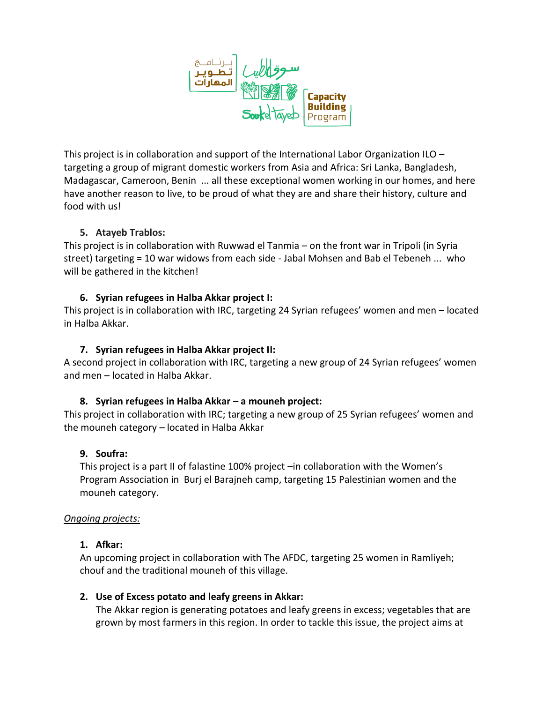

This project is in collaboration and support of the International Labor Organization ILO – targeting a group of migrant domestic workers from Asia and Africa: Sri Lanka, Bangladesh, Madagascar, Cameroon, Benin ... all these exceptional women working in our homes, and here have another reason to live, to be proud of what they are and share their history, culture and food with us!

### **5. Atayeb Trablos:**

This project is in collaboration with Ruwwad el Tanmia – on the front war in Tripoli (in Syria street) targeting = 10 war widows from each side - Jabal Mohsen and Bab el Tebeneh ... who will be gathered in the kitchen!

#### **6. Syrian refugees in Halba Akkar project I:**

This project is in collaboration with IRC, targeting 24 Syrian refugees' women and men – located in Halba Akkar.

#### **7. Syrian refugees in Halba Akkar project II:**

A second project in collaboration with IRC, targeting a new group of 24 Syrian refugees' women and men – located in Halba Akkar.

### **8. Syrian refugees in Halba Akkar – a mouneh project:**

This project in collaboration with IRC; targeting a new group of 25 Syrian refugees' women and the mouneh category – located in Halba Akkar

### **9. Soufra:**

This project is a part II of falastine 100% project –in collaboration with the Women's Program Association in Burj el Barajneh camp, targeting 15 Palestinian women and the mouneh category.

#### *Ongoing projects:*

#### **1. Afkar:**

An upcoming project in collaboration with The AFDC, targeting 25 women in Ramliyeh; chouf and the traditional mouneh of this village.

#### **2. Use of Excess potato and leafy greens in Akkar:**

The Akkar region is generating potatoes and leafy greens in excess; vegetables that are grown by most farmers in this region. In order to tackle this issue, the project aims at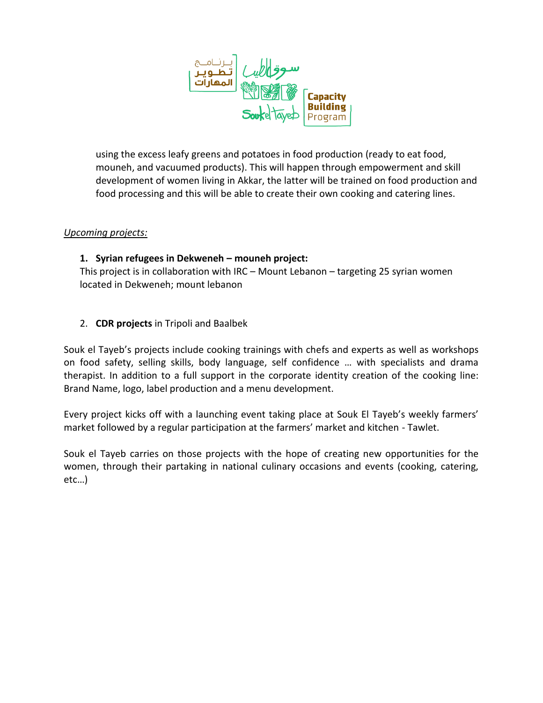

using the excess leafy greens and potatoes in food production (ready to eat food, mouneh, and vacuumed products). This will happen through empowerment and skill development of women living in Akkar, the latter will be trained on food production and food processing and this will be able to create their own cooking and catering lines.

#### *Upcoming projects:*

### **1. Syrian refugees in Dekweneh – mouneh project:**

This project is in collaboration with IRC – Mount Lebanon – targeting 25 syrian women located in Dekweneh; mount lebanon

### 2. **CDR projects** in Tripoli and Baalbek

Souk el Tayeb's projects include cooking trainings with chefs and experts as well as workshops on food safety, selling skills, body language, self confidence … with specialists and drama therapist. In addition to a full support in the corporate identity creation of the cooking line: Brand Name, logo, label production and a menu development.

Every project kicks off with a launching event taking place at Souk El Tayeb's weekly farmers' market followed by a regular participation at the farmers' market and kitchen - Tawlet.

Souk el Tayeb carries on those projects with the hope of creating new opportunities for the women, through their partaking in national culinary occasions and events (cooking, catering, etc…)